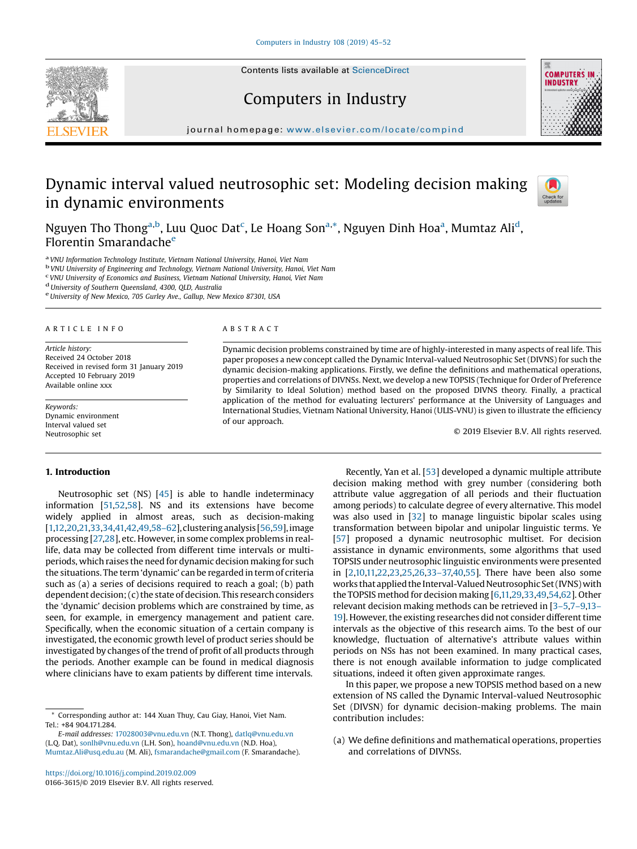Contents lists available at [ScienceDirect](http://www.sciencedirect.com/science/journal/01663615)

Computers in Industry





journal homepage: <www.elsevier.com/locate/compind>

# Dynamic interval valued neutrosophic set: Modeling decision making in dynamic environments



Nguyen Tho Thong<sup>a,b</sup>, Luu Quoc Dat<sup>c</sup>, Le Hoang Son<sup>a,\*</sup>, Nguyen Dinh Hoa<sup>a</sup>, Mumtaz Ali<sup>d</sup>, Florentin Smarandache<sup>e</sup>

<sup>a</sup> VNU Information Technology Institute, Vietnam National University, Hanoi, Viet Nam<br><sup>b</sup> VNU University of Engineering and Technology, Vietnam National University, Hanoi, Viet Nam

<sup>C</sup> VNU University of Economics and Business, Vietnam National University, Hanoi, Viet Nam duniversity of Southern Queensland, 4300, QLD, Australia eUniversity of New Mexico, 705 Gurley Ave., Gallup, New Mexico 87301, USA

#### A R T I C L E I N F O

Article history: Received 24 October 2018 Received in revised form 31 January 2019 Accepted 10 February 2019 Available online xxx

Keywords: Dynamic environment Interval valued set Neutrosophic set

#### 1. Introduction

## A B S T R A C T

Dynamic decision problems constrained by time are of highly-interested in many aspects of real life. This paper proposes a new concept called the Dynamic Interval-valued Neutrosophic Set (DIVNS) for such the dynamic decision-making applications. Firstly, we define the definitions and mathematical operations, properties and correlations of DIVNSs. Next, we develop a new TOPSIS (Technique for Order of Preference by Similarity to Ideal Solution) method based on the proposed DIVNS theory. Finally, a practical application of the method for evaluating lecturers' performance at the University of Languages and International Studies, Vietnam National University, Hanoi (ULIS-VNU) is given to illustrate the efficiency of our approach.

© 2019 Elsevier B.V. All rights reserved.

Neutrosophic set (NS) [[45](#page-6-0)] is able to handle indeterminacy information [[51,52,58](#page-7-0)]. NS and its extensions have become widely applied in almost areas, such as decision-making [\[1,12,20](#page-6-0),[21,33,34,41,42,](#page-6-0)[49,58](#page-7-0)–62],clustering analysis [\[56,59](#page-7-0)], image processing [\[27,28](#page-6-0)], etc. However, in some complex problems in reallife, data may be collected from different time intervals or multiperiods, which raises the need for dynamic decision making for such the situations. The term 'dynamic' can be regarded in term of criteria such as (a) a series of decisions required to reach a goal; (b) path dependent decision;(c)the state of decision. This research considers the 'dynamic' decision problems which are constrained by time, as seen, for example, in emergency management and patient care. Specifically, when the economic situation of a certain company is investigated, the economic growth level of product series should be investigated by changes of the trend of profit of all products through the periods. Another example can be found in medical diagnosis where clinicians have to exam patients by different time intervals.

Corresponding author at: 144 Xuan Thuy, Cau Giay, Hanoi, Viet Nam. Tel.: +84 904.171.284.

E-mail addresses: [17028003@vnu.edu.vn](mailto:17028003@vnu.edu.vn) (N.T. Thong), [datlq@vnu.edu.vn](mailto:datlq@vnu.edu.vn) (L.Q. Dat), [sonlh@vnu.edu.vn](mailto:sonlh@vnu.edu.vn) (L.H. Son), [hoand@vnu.edu.vn](mailto:hoand@vnu.edu.vn) (N.D. Hoa), [Mumtaz.Ali@usq.edu.au](mailto:Mumtaz.Ali@usq.edu.au) (M. Ali), [fsmarandache@gmail.com](mailto:fsmarandache@gmail.com) (F. Smarandache).

Recently, Yan et al. [\[53](#page-7-0)] developed a dynamic multiple attribute decision making method with grey number (considering both attribute value aggregation of all periods and their fluctuation among periods) to calculate degree of every alternative. This model was also used in [\[32\]](#page-6-0) to manage linguistic bipolar scales using transformation between bipolar and unipolar linguistic terms. Ye [\[57\]](#page-7-0) proposed a dynamic neutrosophic multiset. For decision assistance in dynamic environments, some algorithms that used TOPSIS under neutrosophic linguistic environments were presented in [[2,10,11,22,23](#page-6-0),[25](#page-6-0),[26](#page-6-0),33–[37,40](#page-6-0)[,55](#page-7-0)]. There have been also some works that applied the Interval-Valued Neutrosophic Set (IVNS) with the TOPSIS method for decision making [\[6](#page-6-0),[11,29,33](#page-6-0),[49,54,62](#page-7-0)]. Other relevant decision making methods can be retrieved in [\[3](#page-6-0)–5,7–[9,13](#page-6-0)– [19](#page-6-0)]. However, the existing researches did not consider different time intervals as the objective of this research aims. To the best of our knowledge, fluctuation of alternative's attribute values within periods on NSs has not been examined. In many practical cases, there is not enough available information to judge complicated situations, indeed it often given approximate ranges.

In this paper, we propose a new TOPSIS method based on a new extension of NS called the Dynamic Interval-valued Neutrosophic Set (DIVSN) for dynamic decision-making problems. The main contribution includes:

(a) We define definitions and mathematical operations, properties and correlations of DIVNSs.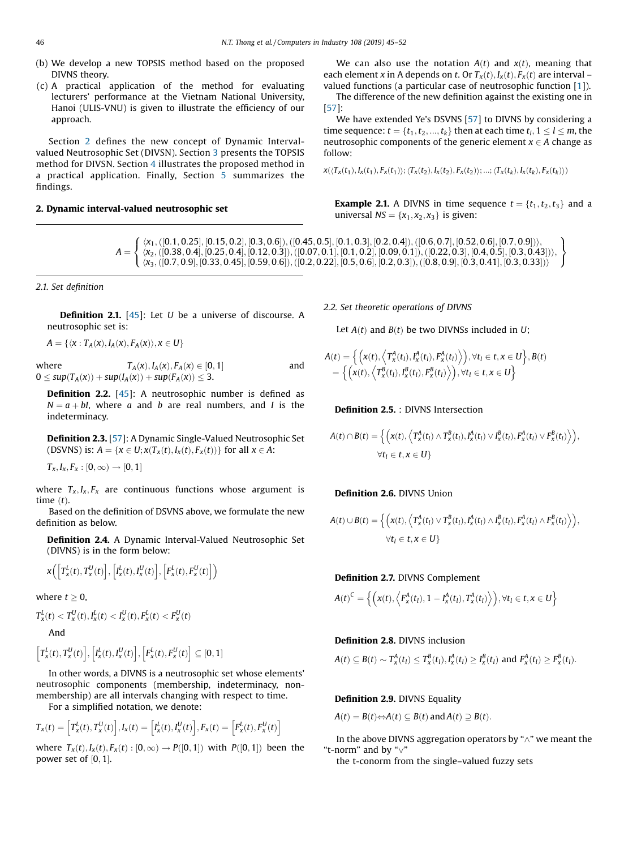- (b) We develop a new TOPSIS method based on the proposed DIVNS theory.
- (c) A practical application of the method for evaluating lecturers' performance at the Vietnam National University, Hanoi (ULIS-VNU) is given to illustrate the efficiency of our approach.

Section 2 defines the new concept of Dynamic Intervalvalued Neutrosophic Set (DIVSN). Section [3](#page-3-0) presents the TOPSIS method for DIVSN. Section [4](#page-4-0) illustrates the proposed method in a practical application. Finally, Section [5](#page-4-0) summarizes the findings.

#### 2. Dynamic interval-valued neutrosophic set

 $A =$  $\langle x_1, ([0.1, 0.25], [0.15, 0.2], [0.3, 0.6]), ([0.45, 0.5], [0.1, 0.3], [0.2, 0.4]), ([0.6, 0.7], [0.52, 0.6], [0.7, 0.9]) \rangle$ <br> $\langle x_2, ([0.38, 0.4], [0.25, 0.4], [0.12, 0.3]), ([0.07, 0.1], [0.10, 0.2], [0.2, 0.4]), ([0.38, 0.4], [0.25, 0.4], [0.4, 0.3], [0.4, 0.4], [0$  $\langle x_2, ([0.38, 0.4], [0.25, 0.4], [0.12, 0.3]), ([0.07, 0.1], [0.1, 0.2], [0.09, 0.1]), ([0.22, 0.3], [0.4, 0.5], [0.3, 0.43]) \rangle$ <br> $\langle x_2, ([0.7, 0.9], [0.33, 0.45], [0.59, 0.6]), ([0.2, 0.2], [0.5, 0.3], [0.4, 0.5], [0.3, 0.43]) \rangle$  $\int$  $\lambda$  $\overline{\mathcal{L}}$ ;

2.1. Set definition

**Definition 2.1.** [[45](#page-6-0)]: Let  $U$  be a universe of discourse. A neutrosophic set is:

 $A = \{ \langle x : T_A(x), I_A(x), F_A(x) \rangle, x \in U \}$ 

where  $T_A(x), I_A(x), F_A(x) \in [0, 1]$ <br>0 < sun(T,(x)) + sun(L(x)) + sun(E,(x)) < 3  $T_A(x), I_A(x), F_A(x) \in [0, 1]$  and  $0 \leq sup(T_A(x)) + sup(I_A(x)) + sup(F_A(x)) \leq 3.$ 

**Definition 2.2.** [\[45\]](#page-6-0): A neutrosophic number is defined as  $N = a + bI$ , where a and b are real numbers, and I is the indeterminacy.

Definition 2.3. [\[57](#page-7-0)]: A Dynamic Single-Valued Neutrosophic Set (DSVNS) is:  $A = \{x \in U; x(T_x(t), I_x(t), F_x(t))\}$  for all  $x \in A$ :

 $T_x, I_x, F_x : [0, \infty) \to [0, 1]$ 

where  $T_x, I_x, F_x$  are continuous functions whose argument is time  $(t)$ .

Based on the definition of DSVNS above, we formulate the new definition as below.

Definition 2.4. A Dynamic Interval-Valued Neutrosophic Set (DIVNS) is in the form below:

$$
\mathbf{x}\bigg(\Big[T_x^L(t), T_x^U(t)\Big], \Big[I_x^L(t), I_x^U(t)\Big], \Big[F_x^L(t), F_x^U(t)\Big]\bigg)
$$

where  $t \geq 0$ ,

$$
T_x^L(t) < T_x^U(t), I_x^L(t) < I_x^U(t), F_x^L(t) < F_x^U(t)
$$

And

$$
\left[T_x^L(t), T_x^U(t)\right], \left[I_x^L(t), I_x^U(t)\right], \left[F_x^L(t), F_x^U(t)\right] \subseteq [0, 1]
$$

In other words, a DIVNS is a neutrosophic set whose elements' neutrosophic components (membership, indeterminacy, nonmembership) are all intervals changing with respect to time.

For a simplified notation, we denote:

$$
T_x(t) = \left[T_x^L(t), T_x^U(t)\right], I_x(t) = \left[I_x^L(t), I_x^U(t)\right], F_x(t) = \left[F_x^L(t), F_x^U(t)\right]
$$

where  $T_x(t)$ ,  $I_x(t)$ ,  $F_x(t)$ :  $[0, \infty) \rightarrow P([0, 1])$  with  $P([0, 1])$  been the power set of  $[0,1]$ .

We can also use the notation  $A(t)$  and  $x(t)$ , meaning that each element x in A depends on t. Or  $T_x(t)$ ,  $I_x(t)$ ,  $F_x(t)$  are interval – valued functions (a particular case of neutrosophic function [[1](#page-6-0)]).

The difference of the new definition against the existing one in [[57](#page-7-0)]:

We have extended Ye's DSVNS [[57](#page-7-0)] to DIVNS by considering a time sequence:  $t = \{t_1, t_2, ..., t_k\}$  then at each time  $t_l, 1 \le l \le m$ , the neutrosophic components of the generic element  $x \in A$  change as follow:

 $x(\langle T_x(t_1), I_x(t_1), F_x(t_1)\rangle; \langle T_x(t_2), I_x(t_2), F_x(t_2)\rangle; \dots; \langle T_x(t_k), I_x(t_k), F_x(t_k)\rangle)$ 

**Example 2.1.** A DIVNS in time sequence  $t = \{t_1, t_2, t_3\}$  and a universal  $NS = \{x_1, x_2, x_3\}$  is given:

 $\langle x_3, ([0.7, 0.9], [0.33, 0.45], [0.59, 0.6]), ([0.2, 0.22], [0.5, 0.6], [0.2, 0.3]), ([0.8, 0.9], [0.3, 0.41], [0.3, 0.33]) \rangle$  $\mathbf{I}$ 

2.2. Set theoretic operations of DIVNS

Let  $A(t)$  and  $B(t)$  be two DIVNSs included in U;

$$
A(t) = \left\{ \left( x(t), \left\langle T_x^A(t_l), I_x^A(t_l), F_x^A(t_l) \right\rangle \right), \forall t_l \in t, x \in U \right\}, B(t) = \left\{ \left( x(t), \left\langle T_x^B(t_l), I_x^B(t_l), F_x^B(t_l) \right\rangle \right), \forall t_l \in t, x \in U \right\}
$$

Definition 2.5. : DIVNS Intersection

$$
A(t) \cap B(t) = \left\{ \left( x(t), \left\langle T_x^A(t_l) \wedge T_x^B(t_l), I_x^A(t_l) \vee I_x^B(t_l), F_x^A(t_l) \vee F_x^B(t_l) \right\rangle \right), \\ \forall t_l \in t, x \in U \right\}
$$

## Definition 2.6. DIVNS Union

$$
A(t) \cup B(t) = \left\{ \left( x(t), \left\langle T_x^A(t_1) \vee T_x^B(t_1), I_x^A(t_1) \wedge I_x^B(t_1), F_x^A(t_1) \wedge F_x^B(t_1) \right\rangle \right), \\ \forall t_1 \in t, x \in U \right\}
$$

## Definition 2.7. DIVNS Complement

$$
A(t)^{C} = \left\{ \left( x(t), \left\langle F_{x}^{A}(t_{l}), 1 - I_{x}^{A}(t_{l}), T_{x}^{A}(t_{l}) \right\rangle \right), \forall t_{l} \in t, x \in U \right\}
$$

## Definition 2.8. DIVNS inclusion

$$
A(t) \subseteq B(t) \sim T_x^A(t_1) \leq T_x^B(t_1), I_x^A(t_1) \geq I_x^B(t_1)
$$
 and  $F_x^A(t_1) \geq F_x^B(t_1)$ .

#### Definition 2.9. DIVNS Equality

 $A(t) = B(t) \Leftrightarrow A(t) \subseteq B(t)$  and  $A(t) \supseteq B(t)$ .

In the above DIVNS aggregation operators by " $\wedge$ " we meant the "t-norm" and by " $\vee$ "

the t-conorm from the single–valued fuzzy sets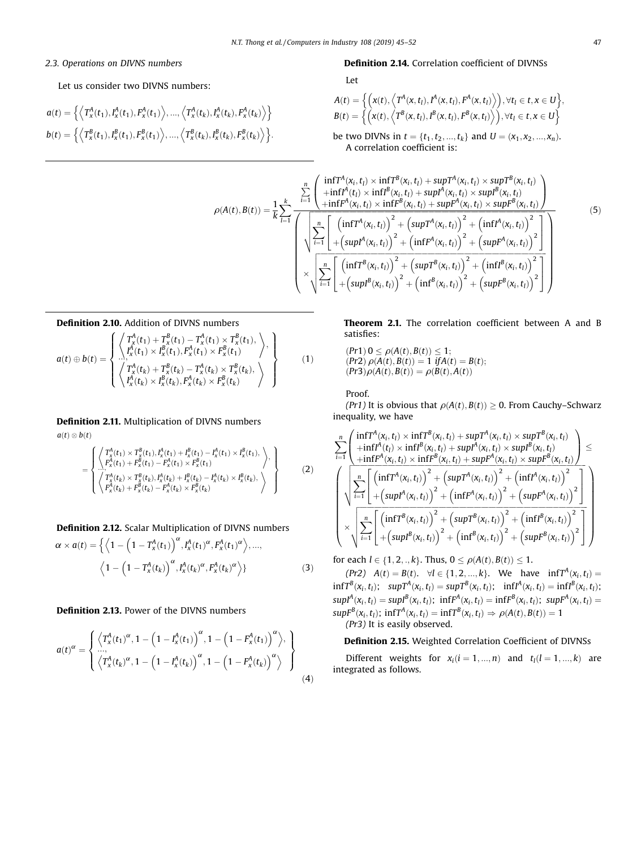## <span id="page-2-0"></span>2.3. Operations on DIVNS numbers

## Let us consider two DIVNS numbers:

$$
a(t) = \left\{ \left\langle T_x^A(t_1), I_x^A(t_1), F_x^A(t_1) \right\rangle, \dots, \left\langle T_x^A(t_k), I_x^A(t_k), F_x^A(t_k) \right\rangle \right\}
$$
  

$$
b(t) = \left\{ \left\langle T_x^B(t_1), I_x^B(t_1), F_x^B(t_1) \right\rangle, \dots, \left\langle T_x^B(t_k), I_x^B(t_k), F_x^B(t_k) \right\rangle \right\}.
$$

#### Definition 2.14. Correlation coefficient of DIVNSs

Let

$$
A(t) = \left\{ \left( x(t), \left\langle T^A(x, t_l), I^A(x, t_l), F^A(x, t_l) \right\rangle \right), \forall t_l \in t, x \in U \right\},\
$$
  
\n
$$
B(t) = \left\{ \left( x(t), \left\langle T^B(x, t_l), I^B(x, t_l), F^B(x, t_l) \right\rangle \right), \forall t_l \in t, x \in U \right\}
$$
  
\nbe two DIVNs in  $t = \{t_1, t_2, ..., t_k\}$  and  $U = (x_1, x_2, ..., x_n)$ .

be two DIVNs in  $t = \{t_1, t_2, ..., t_k\}$  and  $U = (x_1, x_2, ..., x_n)$ .<br>A correlation coefficient is:

$$
\rho(A(t), B(t)) = \frac{1}{k} \sum_{l=1}^{k} \frac{\left( \prod_{i=1}^{n} \prod_{i=1}^{n} \binom{n}{x_{i}, t_{l}} \times \inf_{f}^{B}(x_{i}, t_{l}) + \sup_{f}^{A}(x_{i}, t_{l}) \times \sup_{f}^{B}(x_{i}, t_{l}) \right)}{\left( \prod_{i=1}^{n} \left( \prod_{i=1}^{n} \binom{n}{x_{i}, t_{l}} \times \inf_{f}^{B}(x_{i}, t_{l}) + \sup_{f}^{A}(x_{i}, t_{l}) \times \sup_{f}^{B}(x_{i}, t_{l}) \right)} \right)} \frac{\rho(A(t), B(t))}{\left( \sum_{i=1}^{n} \left( \prod_{i=1}^{n} \binom{n}{x_{i}, t_{i}} \times \inf_{f}^{B}(x_{i}, t_{l}) + \left( \sup_{f}^{A}(x_{i}, t_{i}) \right)^{2} + \left( \inf_{f}^{A}(x_{i}, t_{l}) \right)^{2} \right)} \right)} \frac{\left( \sum_{i=1}^{n} \left[ \left( \inf_{f}^{A}(x_{i}, t_{i}) \right)^{2} + \left( \sup_{f}^{A}(x_{i}, t_{l}) \right)^{2} + \left( \inf_{f}^{A}(x_{i}, t_{l}) \right)^{2} \right]}{\left( \sum_{i=1}^{n} \left[ \left( \inf_{f}^{B}(x_{i}, t_{l}) \right)^{2} + \left( \sup_{f}^{B}(x_{i}, t_{l}) \right)^{2} + \left( \inf_{f}^{B}(x_{i}, t_{l}) \right)^{2} \right]} \right)} \right) \right)} \frac{\left( 5 \right)}{\left( \sum_{i=1}^{n} \left[ \left( \inf_{f}^{B}(x_{i}, t_{i}) \right)^{2} + \left( \sup_{f}^{B}(x_{i}, t_{l}) \right)^{2} + \left( \inf_{f}^{B}(x_{i}, t_{l}) \right)^{2} \right]} \right)}
$$

#### Definition 2.10. Addition of DIVNS numbers

$$
a(t) \oplus b(t) = \begin{cases} \begin{Bmatrix} T_x^A(t_1) + T_x^B(t_1) - T_x^A(t_1) \times T_x^B(t_1), \\ I_x^A(t_1) \times I_x^B(t_1), F_x^A(t_1) \times F_x^B(t_1) \end{Bmatrix}, \\ \begin{Bmatrix} T_x^A(t_k) + T_x^B(t_k) - T_x^A(t_k) \times T_x^B(t_k), \\ I_x^A(t_k) \times I_x^B(t_k), F_x^A(t_k) \times F_x^B(t_k) \end{Bmatrix} \end{cases}
$$
(1)

Definition 2.11. Multiplication of DIVNS numbers  $a(t)\otimes b(t)$ 

$$
= \begin{Bmatrix} \begin{Bmatrix} T_{X}^{A}(t_{1}) \times T_{X}^{B}(t_{1}), H_{X}^{A}(t_{1}) + I_{X}^{B}(t_{1}) - I_{X}^{A}(t_{1}) \times I_{X}^{B}(t_{1}), \\ F_{X}^{A}(t_{1}) + F_{X}^{B}(t_{1}) - F_{X}^{A}(t_{1}) \times F_{X}^{B}(t_{1}) \end{Bmatrix}, \\ \begin{Bmatrix} T_{X}^{A}(t_{k}) \times T_{X}^{B}(t_{k}), H_{X}^{A}(t_{k}) + I_{X}^{B}(t_{k}) - I_{X}^{A}(t_{k}) \times I_{X}^{B}(t_{k}), \\ F_{X}^{A}(t_{k}) + F_{X}^{B}(t_{k}) - F_{X}^{A}(t_{k}) \times F_{X}^{B}(t_{k}) \end{Bmatrix} \end{Bmatrix} \tag{2}
$$

## Definition 2.12. Scalar Multiplication of DIVNS numbers

$$
\alpha \times a(t) = \left\{ \left\langle 1 - \left( 1 - T_{x}^{A}(t_{1}) \right)^{\alpha}, I_{x}^{A}(t_{1})^{\alpha}, F_{x}^{A}(t_{1})^{\alpha} \right\rangle, ..., \\ \left\langle 1 - \left( 1 - T_{x}^{A}(t_{k}) \right)^{\alpha}, I_{x}^{A}(t_{k})^{\alpha}, F_{x}^{A}(t_{k})^{\alpha} \right\rangle \right\}
$$
(3)

## Definition 2.13. Power of the DIVNS numbers

$$
a(t)^{\alpha} = \begin{cases} \left\langle T_x^A(t_1)^{\alpha}, 1 - \left(1 - I_x^A(t_1)\right)^{\alpha}, 1 - \left(1 - F_x^A(t_1)\right)^{\alpha}\right\rangle, \\ \cdots, \\ \left\langle T_x^A(t_k)^{\alpha}, 1 - \left(1 - I_x^A(t_k)\right)^{\alpha}, 1 - \left(1 - F_x^A(t_k)\right)^{\alpha}\right\rangle \end{cases}
$$
\n(4)

Theorem 2.1. The correlation coefficient between A and B satisfies:

$$
(Pr1) 0 \le \rho(A(t), B(t)) \le 1; (Pr2) \rho(A(t), B(t)) = 1 \text{ if } A(t) = B(t); (Pr3) \rho(A(t), B(t)) = \rho(B(t), A(t))
$$

Proof.

(Pr1) It is obvious that  $\rho(A(t), B(t)) \geq 0$ . From Cauchy–Schwarz inequality, we have

$$
\begin{split} &\sum_{i=1}^{n}\left(\frac{\inf T^{A}(x_{i},t_{l})\times\inf T^{B}(x_{i},t_{l})+\sup T^{A}(x_{i},t_{l})\times\sup T^{B}(x_{i},t_{l})}{+\inf T^{A}(t_{l})\times\inf T^{B}(x_{i},t_{l})+\sup T^{A}(x_{i},t_{l})\times\sup F^{B}(x_{i},t_{l})}\right) \leq\\ &\left(\sqrt{\sum_{i=1}^{n}\left[\frac{\left(\inf T^{A}(x_{i},t_{l})\times\inf F^{B}(x_{i},t_{l})+\sup F^{A}(x_{i},t_{l})\times\sup F^{B}(x_{i},t_{l})\right)}{\left(\sum_{i=1}^{n}\left[\frac{\left(\inf T^{A}(x_{i},t_{l})\right)^{2}+\left(\sup T^{A}(x_{i},t_{l})\right)^{2}+\left(\inf T^{A}(x_{i},t_{l})\right)^{2}\right)}{\left(\sup T^{A}(x_{i},t_{l})\right)^{2}+\left(\inf F^{A}(x_{i},t_{l})\right)^{2}+\left(\sup F^{A}(x_{i},t_{l})\right)^{2}\right)}\right] \times\sqrt{\sum_{i=1}^{n}\left[\frac{\left(\inf T^{B}(x_{i},t_{i})\right)^{2}+\left(\sup T^{B}(x_{i},t_{l})\right)^{2}+\left(\inf F^{B}(x_{i},t_{l})\right)^{2}}{\left(\sup T^{B}(x_{i},t_{l})\right)^{2}+\left(\sup T^{B}(x_{i},t_{l})\right)^{2}+\left(\inf F^{B}(x_{i},t_{l})\right)^{2}\right]}\right)}\end{split}
$$

for each  $l \in \{1, 2, ..., k\}$ . Thus,  $0 \le \rho(A(t), B(t)) \le 1$ .

(Pr2)  $A(t) = B(t)$ .  $\forall l \in \{1, 2, ..., k\}$ . We have  $\inf T^A(x_i, t_l) =$  $\inf T^B(x_i, t_i); \quad \sup T^A(x_i, t_i) = \sup T^B(x_i, t_i); \quad \inf T^A(x_i, t_i) = \inf T^B(x_i, t_i);$  $supI^{A}(x_{i}, t_{i}) = supI^{B}(x_{i}, t_{i})$ ;  $infF^{A}(x_{i}, t_{i}) = infF^{B}(x_{i}, t_{i})$ ;  $supF^{A}(x_{i}, t_{i}) =$  $supF^{B}(x_i,t_l)$ ;  $infT^{A}(x_i,t_l) = infT^{B}(x_i,t_l) \Rightarrow \rho(A(t),B(t)) = 1$ (Pr3) It is easily observed.

## Definition 2.15. Weighted Correlation Coefficient of DIVNSs

Different weights for  $x_i$ ( $i = 1, ..., n$ ) and  $t_l$ ( $l = 1, ..., k$ ) are integrated as follows.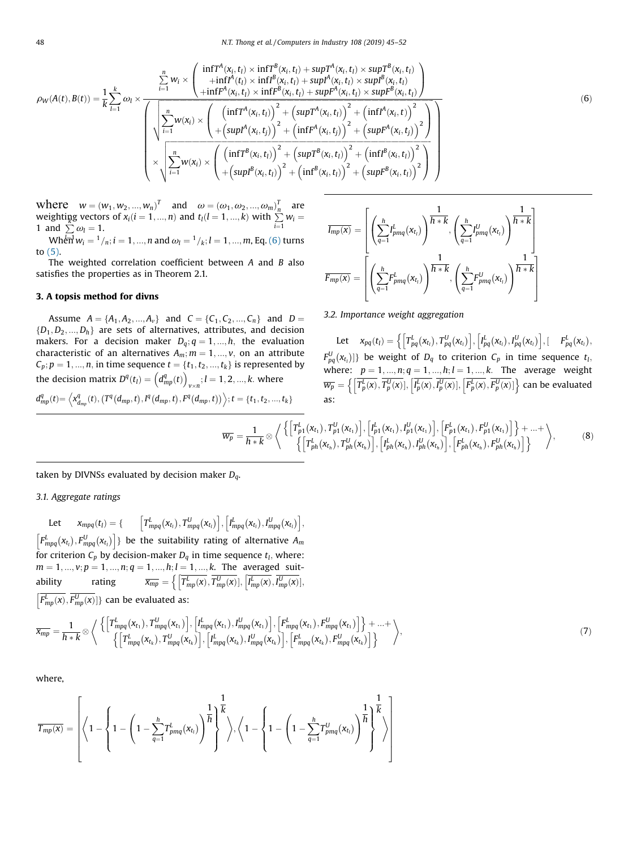<span id="page-3-0"></span>
$$
\rho_{W}(A(t),B(t)) = \frac{1}{k} \sum_{l=1}^{k} \omega_{l} \times \frac{\left(\begin{array}{c} \inf T^{A}(x_{i},t_{l}) \times \inf T^{B}(x_{i},t_{l}) + \sup T^{A}(x_{i},t_{l}) \times \sup T^{B}(x_{i},t_{l}) \\ + \inf T^{A}(t_{l}) \times \inf T^{B}(x_{i},t_{l}) + \sup T^{A}(x_{i},t_{l}) \times \sup T^{B}(x_{i},t_{l}) \end{array}\right)}{\left(\sqrt{\sum_{i=1}^{n} w(x_{i}) \times \left(\begin{array}{c} \left(\inf T^{A}(x_{i},t_{l}) \times \inf T^{B}(x_{i},t_{l}) + \sup T^{A}(x_{i},t_{l}) \right)^{2} + \left(\inf T^{A}(x_{i},t_{l}) \right)^{2} \\ + \left(\sup T^{A}(x_{i},t_{l})\right)^{2} + \left(\sup T^{A}(x_{i},t_{l})\right)^{2} + \left(\inf T^{A}(x_{i},t)\right)^{2} \right)}{+\left(\sup T^{A}(x_{i},t_{j})\right)^{2} + \left(\sup T^{A}(x_{i},t_{j})\right)^{2} + \left(\sup T^{A}(x_{i},t_{j})\right)^{2} \right)}}\right)}\right)
$$
\n
$$
\times \sqrt{\sum_{i=1}^{n} w(x_{i}) \times \left(\frac{\left(\inf T^{B}(x_{i},t_{l})\right)^{2} + \left(\sup T^{B}(x_{i},t_{l})\right)^{2} + \left(\inf T^{B}(x_{i},t_{l})\right)^{2}}{\left(\sup T^{B}(x_{i},t_{l})\right)^{2} + \left(\inf T^{B}(x_{i},t_{l})\right)^{2} + \left(\sup T^{B}(x_{i},t_{l})\right)^{2}\right)}\right)}
$$
\n(6)

where  $w = (w_1, w_2, ..., w_n)^T$  and  $\omega = (\omega_1, \omega_2, ..., \omega_m)^T_n$  are weighting vectors of  $x_i (i = 1, ..., n)$  and  $t_l (l = 1, ..., k)$  with  $\sum_{i=1}^T w_i = 1$  and  $\sum \omega_l = 1$ . 1 and  $\sum \omega_l = 1$ .

 $\text{Wh}^{\frac{1}{2}}\bar{\mathsf{H}}\mathsf{w}_i = \frac{1}{n}; i = 1, ..., n$  and  $\omega_l = \frac{1}{k}; l = 1, ..., m$ , Eq. (6) turns to [\(5\)](#page-2-0).

The weighted correlation coefficient between A and B also satisfies the properties as in Theorem 2.1.

#### 3. A topsis method for divns

Assume  $A = \{A_1, A_2, ..., A_v\}$  and  $C = \{C_1, C_2, ..., C_n\}$  and  $D =$  ${D_1, D_2, ..., D_h}$  are sets of alternatives, attributes, and decision makers. For a decision maker  $D_q$ ;  $q = 1, ..., h$ , the evaluation characteristic of an alternatives  $A_m$ ;  $m = 1, ..., v$ , on an attribute  $C_p$ ;  $p = 1, ..., n$ , in time sequence  $t = \{t_1, t_2, ..., t_k\}$  is represented by the decision matrix  $D^q(t_l) = \left(d^q_{mp}(t)\right)_{v \times n}; l = 1, 2, ..., k$ . where  $v \times$  $d_{mp}^{q}(t) = \left\langle x_{d_{mp}}^{q}(t), (T^{q}(d_{mp}, t), I^{q}(d_{mp}, t), F^{q}(d_{mp}, t)) \right\rangle; t = \left\{ t_1, t_2, ..., t_k \right\}$ 

$$
\overline{I_{mp}(x)} = \left[ \left( \sum_{q=1}^{h} I_{pmq}^{L}(x_{t_i}) \right)^{\frac{1}{h+k}}, \left( \sum_{q=1}^{h} I_{pmq}^{U}(x_{t_i}) \right)^{\frac{1}{h+k}} \right]
$$
\n
$$
\overline{F_{mp}(x)} = \left[ \left( \sum_{q=1}^{h} F_{pmq}^{L}(x_{t_i}) \right)^{\frac{1}{h+k}}, \left( \sum_{q=1}^{h} F_{pmq}^{U}(x_{t_i}) \right)^{\frac{1}{h+k}} \right]
$$

#### 3.2. Importance weight aggregation

Let  $x_{pq}(t_l) = \left\{ \left[ T_{pq}^L(x_{t_l}), T_{pq}^U(x_{t_l}) \right], \left[ I_{pq}^L(x_{t_l}), I_{pq}^U(x_{t_l}) \right], \left[ I_{pq}^L(x_{t_l}) \right], \right\}$  $F_{pq}^{U}(x_{t_i})$ } be weight of  $D_q$  to criterion  $C_p$  in time sequence  $t_i$ , where:  $p_q(x_i)$ ;  $p = 1, ..., n; q = 1, ..., h; l = 1, ..., k$ . The average weight  $\overline{w_p} = \left\{ \left[ T_p^L(x), T_p^U(x) \right], \left[ I_p^L(x), I_p^U(x) \right], \left[ F_p^L(x), F_p^U(x) \right] \right\}$  can be evaluated as:

$$
\overline{w_p} = \frac{1}{h * k} \otimes \left\langle \left\{ \begin{bmatrix} T_{p1}^L(x_{t_1}), T_{p1}^U(x_{t_1}) \end{bmatrix}, \begin{bmatrix} I_{p1}^L(x_{t_1}), I_{p1}^U(x_{t_1}) \end{bmatrix}, \begin{bmatrix} F_{p1}^L(x_{t_1}), F_{p1}^U(x_{t_1}) \end{bmatrix}, F_{p1}^U(x_{t_1}) \end{bmatrix} \right\} + \dots + \left\langle \left\{ \begin{bmatrix} T_{ph}^L(x_{t_h}), T_{ph}^U(x_{t_h}) \end{bmatrix}, \begin{bmatrix} I_{ph}^L(x_{t_h}), I_{ph}^U(x_{t_h}) \end{bmatrix}, \begin{bmatrix} F_{ph}^L(x_{t_h}), F_{ph}^U(x_{t_h}) \end{bmatrix} \right\} \right\rangle, \tag{8}
$$

taken by DIVNSs evaluated by decision maker  $D_q$ .

3.1. Aggregate ratings

Let 
$$
x_{mpq}(t_l) = \left\{ \begin{bmatrix} T_{mpq}^L(x_{t_l}), T_{mpq}^U(x_{t_l}) \end{bmatrix}, \begin{bmatrix} I_{mpq}^L(x_{t_l}), I_{mpq}^U(x_{t_l}) \end{bmatrix}, \begin{bmatrix} I_{mpq}^L(x_{t_l}), I_{mpq}^U(x_{t_l}) \end{bmatrix}, \begin{bmatrix} F_{mpq}^L(x_{t_l}), F_{mpq}^U(x_{t_l}) \end{bmatrix} \right\}
$$
 be the suitability rating of alternative  $A_m$  for criterion  $C_p$  by decision-maker  $D_q$  in time sequence  $t_l$ , where:  
\n $m = 1, ..., v; p = 1, ..., n; q = 1, ..., h; l = 1, ..., k$ . The averaged suitability rating  $\overline{x_{mp}} = \left\{ \begin{bmatrix} T_{mp}^L(x), T_{mp}^U(x) \end{bmatrix}, \begin{bmatrix} I_{mp}^L(x), I_{mp}^U(x) \end{bmatrix}, \begin{bmatrix} I_{mp}^L(x), I_{mp}^U(x) \end{bmatrix}, \begin{bmatrix} I_{mp}^L(x), I_{mp}^U(x) \end{bmatrix} \right\}$  can be evaluated as:

$$
\overline{x_{mp}} = \frac{1}{h * k} \otimes \left\langle \left\{ \left[ T^{L}_{mpq}(x_{t_1}), T^{U}_{mpq}(x_{t_1}) \right], \left[ I^{L}_{mpq}(x_{t_1}), I^{U}_{mpq}(x_{t_1}) \right], \left[ F^{L}_{mpq}(x_{t_1}), F^{U}_{mpq}(x_{t_1}) \right] \right\} + ... + \left\langle \left\{ \left[ T^{L}_{mpq}(x_{t_k}), T^{U}_{mpq}(x_{t_k}) \right], \left[ I^{L}_{mpq}(x_{t_k}), I^{U}_{mpq}(x_{t_k}) \right], \left[ F^{L}_{mpq}(x_{t_k}), F^{U}_{mpq}(x_{t_k}) \right] \right\} \right\rangle, \tag{7}
$$

where,

$$
\overline{T_{mp}(x)} = \left[ \left\langle 1 - \left\{ 1 - \left( 1 - \sum_{q=1}^h T_{pmq}^L(x_{t_l}) \right)^{\tfrac{1}{h}} \right\}^{\tfrac{1}{k}} \right\rangle, \left\langle 1 - \left\{ 1 - \left( 1 - \sum_{q=1}^h T_{pmq}^U(x_{t_l}) \right)^{\tfrac{1}{h}} \right\}^{\tfrac{1}{k}} \right\rangle \right]
$$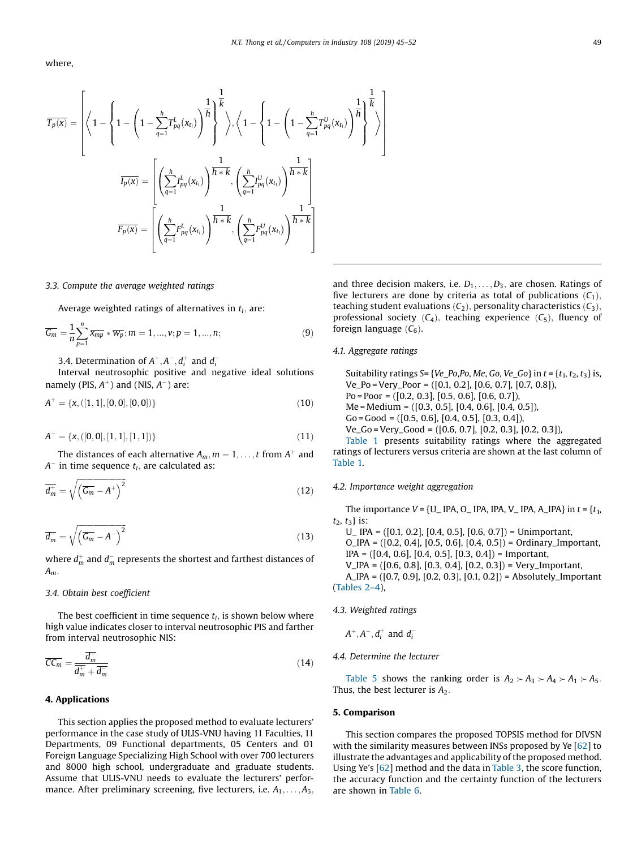<span id="page-4-0"></span>where,

$$
\overline{T_p(\mathbf{x})} = \left[ \left\langle 1 - \left( 1 - \sum_{q=1}^h T_{pq}^l(\mathbf{x}_{t_l}) \right)^{\overline{h}} \right]^{\overline{k}} \right\rangle, \left\langle 1 - \left\{ 1 - \left( 1 - \sum_{q=1}^h T_{pq}^l(\mathbf{x}_{t_l}) \right)^{\overline{h}} \right]^{\overline{k}} \right\rangle \right]
$$

$$
\overline{I_p(\mathbf{x})} = \left[ \left( \sum_{q=1}^h I_{pq}^l(\mathbf{x}_{t_l}) \right)^{\overline{h} \cdot \overline{k}} , \left( \sum_{q=1}^h I_{pq}^l(\mathbf{x}_{t_l}) \right)^{\overline{h} \cdot \overline{k}} \right]
$$

$$
\overline{F_p(\mathbf{x})} = \left[ \left( \sum_{q=1}^h F_{pq}^l(\mathbf{x}_{t_l}) \right)^{\overline{h} \cdot \overline{k}} , \left( \sum_{q=1}^h I_{pq}^l(\mathbf{x}_{t_l}) \right)^{\overline{h} \cdot \overline{k}} \right]
$$

#### 3.3. Compute the average weighted ratings

Average weighted ratings of alternatives in  $t_1$ , are:

$$
\overline{G_m} = \frac{1}{n} \sum_{p=1}^{n} \overline{x_{mp}} * \overline{w_p}; m = 1, ..., v; p = 1, ..., n;
$$
 (9)

3.4. Determination of  $A^+, A^-, d_i^+$  and  $d_i^-$ 

Interval neutrosophic positive and negative ideal solutions namely (PIS,  $A^+$ ) and (NIS,  $A^-$ ) are:

$$
A^{+} = \{x, ([1, 1], [0, 0], [0, 0])\}
$$
\n
$$
(10)
$$

$$
A^{-} = \{x, ([0, 0], [1, 1], [1, 1])\}
$$
\n<sup>(11)</sup>

The distances of each alternative  $A_m$ ,  $m = 1, \ldots, t$  from  $A^+$  and  $A^-$  in time sequence  $t_l$ , are calculated as:

$$
\overline{d_m^+} = \sqrt{\left(\overline{G_m} - A^+\right)^2} \tag{12}
$$

$$
\overline{d_m^-} = \sqrt{\left(\overline{G_m} - A^-\right)^2} \tag{13}
$$

where  $d_m^+$  and  $d_m^-$  represents the shortest and farthest distances of  $A_m$ .

#### 3.4. Obtain best coefficient

The best coefficient in time sequence  $t_l$ , is shown below where high value indicates closer to interval neutrosophic PIS and farther from interval neutrosophic NIS:

$$
\overline{CC_m} = \frac{\overline{d_m}}{\overline{d_m^+} + \overline{d_m^-}}\tag{14}
$$

#### 4. Applications

This section applies the proposed method to evaluate lecturers' performance in the case study of ULIS-VNU having 11 Faculties, 11 Departments, 09 Functional departments, 05 Centers and 01 Foreign Language Specializing High School with over 700 lecturers and 8000 high school, undergraduate and graduate students. Assume that ULIS-VNU needs to evaluate the lecturers' performance. After preliminary screening, five lecturers, i.e.  $A_1, \ldots, A_5$ , and three decision makers, i.e.  $D_1, \ldots, D_3$ , are chosen. Ratings of five lecturers are done by criteria as total of publications  $(C_1)$ , teaching student evaluations  $(C_2)$ , personality characteristics  $(C_3)$ , professional society  $(C_4)$ , teaching experience  $(C_5)$ , fluency of foreign language  $(C_6)$ .

#### 4.1. Aggregate ratings

Suitability ratings  $S = \{Ve\_Po, Po, Me, Go, Ve\_Go\}$  in  $t = \{t_1, t_2, t_3\}$  is, Ve\_Po = Very\_Poor = ([0.1, 0.2], [0.6, 0.7], [0.7, 0.8]), Po = Poor = ([0.2, 0.3], [0.5, 0.6], [0.6, 0.7]), Me = Medium = ([0.3, 0.5], [0.4, 0.6], [0.4, 0.5]), Go = Good = ([0.5, 0.6], [0.4, 0.5], [0.3, 0.4]), Ve\_Go = Very\_Good = ([0.6, 0.7], [0.2, 0.3], [0.2, 0.3]), [Table](#page-5-0) 1 presents suitability ratings where the aggregated

ratings of lecturers versus criteria are shown at the last column of [Table](#page-5-0) 1.

#### 4.2. Importance weight aggregation

The importance  $V = \{U$  IPA, O IPA, IPA, V IPA, A IPA} in  $t = \{t_1,$  $t_2, t_3$  is:

U\_ IPA = ([0.1, 0.2], [0.4, 0.5], [0.6, 0.7]) = Unimportant, O\_IPA = ([0.2, 0.4], [0.5, 0.6], [0.4, 0.5]) = Ordinary\_Important, IPA = ([0.4, 0.6], [0.4, 0.5], [0.3, 0.4]) = Important, V\_IPA = ([0.6, 0.8], [0.3, 0.4], [0.2, 0.3]) = Very\_Important, A\_IPA = ([0.7, 0.9], [0.2, 0.3], [0.1, 0.2]) = Absolutely\_Important ([Tables](#page-5-0) 2–4),

4.3. Weighted ratings

$$
A^+, A^-, d_i^+ \text{ and } d_i^-
$$

4.4. Determine the lecturer

[Table](#page-5-0) 5 shows the ranking order is  $A_2 \succ A_3 \succ A_4 \succ A_1 \succ A_5$ . Thus, the best lecturer is  $A_2$ .

#### 5. Comparison

This section compares the proposed TOPSIS method for DIVSN with the similarity measures between INSs proposed by Ye [[62\]](#page-7-0) to illustrate the advantages and applicability of the proposed method. Using Ye's [[62](#page-7-0)] method and the data in [Table](#page-5-0) 3, the score function, the accuracy function and the certainty function of the lecturers are shown in [Table](#page-5-0) 6.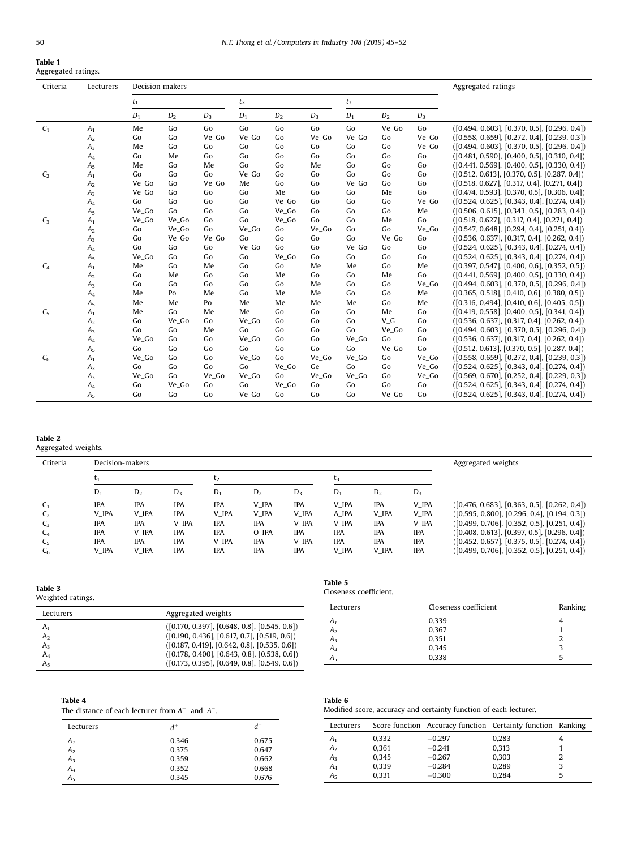<span id="page-5-0"></span>

| Table 1             |  |
|---------------------|--|
| Aggregated ratings. |  |

| Criteria       | Lecturers      | Decision makers |       |       |                |       |       |       |          | Aggregated ratings |                                                  |
|----------------|----------------|-----------------|-------|-------|----------------|-------|-------|-------|----------|--------------------|--------------------------------------------------|
|                |                | $t_1$           |       | $t_2$ |                | $t_3$ |       |       |          |                    |                                                  |
|                |                | $D_1$           | $D_2$ | $D_3$ | $\mathbb{D}_1$ | $D_2$ | $D_3$ | $D_1$ | $D_2$    | $D_3$              |                                                  |
| C <sub>1</sub> | A <sub>1</sub> | Me              | Go    | Go    | Go             | Go    | Go    | Go    | Ve_Go    | Go                 | $( [0.494, 0.603], [0.370, 0.5], [0.296, 0.4] )$ |
|                | A <sub>2</sub> | Go              | Go    | Ve_Go | Ve_Go          | Go    | Ve_Go | Ve_Go | Go       | Ve_Go              | $([0.558, 0.659], [0.272, 0.4], [0.239, 0.3])$   |
|                | $A_3$          | Me              | Go    | Go    | Go             | Go    | Go    | Go    | Go       | Ve_Go              | $([0.494, 0.603], [0.370, 0.5], [0.296, 0.4])$   |
|                | $A_4$          | Go              | Me    | Go    | Go             | Go    | Go    | Go    | Go       | Go                 | $( [0.481, 0.590], [0.400, 0.5], [0.310, 0.4] )$ |
|                | A <sub>5</sub> | Me              | Go    | Me    | Go             | Go    | Me    | Go    | Go       | Go                 | $([0.441, 0.569], [0.400, 0.5], [0.330, 0.4])$   |
| C <sub>2</sub> | A <sub>1</sub> | Go              | Go    | Go    | Ve_Go          | Go    | Go    | Go    | Go       | Go                 | $([0.512, 0.613], [0.370, 0.5], [0.287, 0.4])$   |
|                | A <sub>2</sub> | Ve_Go           | Go    | Ve_Go | Me             | Go    | Go    | Ve_Go | Go       | Go                 | $([0.518, 0.627], [0.317, 0.4], [0.271, 0.4])$   |
|                | A <sub>3</sub> | Ve_Go           | Go    | Go    | Go             | Me    | Go    | Go    | Me       | Go                 | $([0.474, 0.593], [0.370, 0.5], [0.306, 0.4])$   |
|                | $A_4$          | Go              | Go    | Go    | Go             | Ve_Go | Go    | Go    | Go       | Ve_Go              | $( [0.524, 0.625], [0.343, 0.4], [0.274, 0.4] )$ |
|                | A <sub>5</sub> | Ve_Go           | Go    | Go    | Go             | Ve_Go | Go    | Go    | Go       | Me                 | $( [0.506, 0.615], [0.343, 0.5], [0.283, 0.4] )$ |
| $C_3$          | A <sub>1</sub> | Ve_Go           | Ve_Go | Go    | Go             | Ve_Go | Go    | Go    | Me       | Go                 | $([0.518, 0.627], [0.317, 0.4], [0.271, 0.4])$   |
|                | A <sub>2</sub> | Go              | Ve_Go | Go    | Ve_Go          | Go    | Ve_Go | Go    | Go       | Ve_Go              | $([0.547, 0.648], [0.294, 0.4], [0.251, 0.4])$   |
|                | $A_3$          | Go              | Ve_Go | Ve_Go | Go             | Go    | Go    | Go    | Ve_Go    | Go                 | $( [0.536, 0.637], [0.317, 0.4], [0.262, 0.4] )$ |
|                | $A_4$          | Go              | Go    | Go    | Ve_Go          | Go    | Go    | Ve_Go | Go       | Go                 | $( [0.524, 0.625], [0.343, 0.4], [0.274, 0.4] )$ |
|                | A <sub>5</sub> | Ve_Go           | Go    | Go    | Go             | Ve Go | Go    | Go    | Go       | Go                 | $( [0.524, 0.625], [0.343, 0.4], [0.274, 0.4] )$ |
| $C_4$          | A <sub>1</sub> | Me              | Go    | Me    | Go             | Go    | Me    | Me    | Go       | Me                 | $( [0.397, 0.547], [0.400, 0.6], [0.352, 0.5])$  |
|                | A <sub>2</sub> | Go              | Me    | Go    | Go             | Me    | Go    | Go    | Me       | Go                 | $([0.441, 0.569], [0.400, 0.5], [0.330, 0.4])$   |
|                | $A_3$          | Go              | Go    | Go    | Go             | Go    | Me    | Go    | Go       | Ve_Go              | $( [0.494, 0.603], [0.370, 0.5], [0.296, 0.4] )$ |
|                | $A_4$          | Me              | Po    | Me    | Go             | Me    | Me    | Go    | Go       | Me                 | $([0.365, 0.518], [0.410, 0.6], [0.380, 0.5])$   |
|                | A <sub>5</sub> | Me              | Me    | Po    | Me             | Me    | Me    | Me    | Go       | Me                 | $( [0.316, 0.494], [0.410, 0.6], [0.405, 0.5] )$ |
| C <sub>5</sub> | A <sub>1</sub> | Me              | Go    | Me    | Me             | Go    | Go    | Go    | Me       | Go                 | $([0.419, 0.558], [0.400, 0.5], [0.341, 0.4])$   |
|                | A <sub>2</sub> | Go              | Ve_Go | Go    | Ve_Go          | Go    | Go    | Go    | $V_{-}G$ | Go                 | $( [0.536, 0.637], [0.317, 0.4], [0.262, 0.4] )$ |
|                | $A_3$          | Go              | Go    | Me    | Go             | Go    | Go    | Go    | Ve_Go    | Go                 | $( [0.494, 0.603], [0.370, 0.5], [0.296, 0.4] )$ |
|                | $A_4$          | Ve_Go           | Go    | Go    | Ve_Go          | Go    | Go    | Ve_Go | Go       | Go                 | $( [0.536, 0.637], [0.317, 0.4], [0.262, 0.4] )$ |
|                | A <sub>5</sub> | Go              | Go    | Go    | Go             | Go    | Go    | Go    | Ve_Go    | Go                 | $([0.512, 0.613], [0.370, 0.5], [0.287, 0.4])$   |
| C <sub>6</sub> | A <sub>1</sub> | Ve_Go           | Go    | Go    | Ve_Go          | Go    | Ve_Go | Ve_Go | Go       | Ve_Go              | $([0.558, 0.659], [0.272, 0.4], [0.239, 0.3])$   |
|                | A <sub>2</sub> | Go              | Go    | Go    | Go             | Ve_Go | Ge    | Go    | Go       | Ve_Go              | $( [0.524, 0.625], [0.343, 0.4], [0.274, 0.4] )$ |
|                | A <sub>3</sub> | Ve_Go           | Go    | Ve_Go | Ve_Go          | Go    | Ve_Go | Ve_Go | Go       | Ve_Go              | $( [0.569, 0.670], [0.252, 0.4], [0.229, 0.3] )$ |
|                | $A_4$          | Go              | Ve_Go | Go    | Go             | Ve_Go | Go    | Go    | Go       | Go                 | $( [0.524, 0.625], [0.343, 0.4], [0.274, 0.4] )$ |
|                | A <sub>5</sub> | Go              | Go    | Go    | Ve_Go          | Go    | Go    | Go    | Ve_Go    | Go                 | $( [0.524, 0.625], [0.343, 0.4], [0.274, 0.4] )$ |

## Table 2

Aggregated weights.

| Criteria       | Decision-makers |                |            |            |                |            |            |                | Aggregated weights |                                                  |
|----------------|-----------------|----------------|------------|------------|----------------|------------|------------|----------------|--------------------|--------------------------------------------------|
|                |                 |                |            | Ŀ2         |                |            | t3         |                |                    |                                                  |
|                | $D_1$           | D <sub>2</sub> | $D_3$      | $D_1$      | D <sub>2</sub> | $D_3$      | $D_1$      | D <sub>2</sub> | $D_3$              |                                                  |
|                | <b>IPA</b>      | <b>IPA</b>     | <b>IPA</b> | <b>IPA</b> | V IPA          | <b>IPA</b> | V IPA      | <b>IPA</b>     | V IPA              | $( [0.476, 0.683], [0.363, 0.5], [0.262, 0.4] )$ |
| C2             | V_IPA           | V IPA          | <b>IPA</b> | V IPA      | V IPA          | V IPA      | A_IPA      | V IPA          | V_IPA              | $( [0.595, 0.800], [0.296, 0.4], [0.194, 0.3] )$ |
| Lз             | <b>IPA</b>      | <b>IPA</b>     | V IPA      | <b>IPA</b> | <b>IPA</b>     | V IPA      | V IPA      | <b>IPA</b>     | V IPA              | $( [0.499, 0.706], [0.352, 0.5], [0.251, 0.4] )$ |
|                | <b>IPA</b>      | V IPA          | <b>IPA</b> | <b>IPA</b> | O IPA          | <b>IPA</b> | <b>IPA</b> | <b>IPA</b>     | <b>IPA</b>         | $( [0.408, 0.613], [0.397, 0.5], [0.296, 0.4] )$ |
| <b>L5</b>      | <b>IPA</b>      | <b>IPA</b>     | <b>IPA</b> | V IPA      | <b>IPA</b>     | V IPA      | <b>IPA</b> | <b>IPA</b>     | <b>IPA</b>         | $([0.452, 0.657], [0.375, 0.5], [0.274, 0.4])$   |
| L <sub>6</sub> | V_IPA           | V IPA          | <b>IPA</b> | <b>IPA</b> | <b>IPA</b>     | <b>IPA</b> | V_IPA      | V_IPA          | <b>IPA</b>         | $([0.499, 0.706], [0.352, 0.5], [0.251, 0.4])$   |

## Table 3

Weighted ratings.

| Lecturers      | Aggregated weights                              |
|----------------|-------------------------------------------------|
| A <sub>1</sub> | $( [0.170, 0.397], [0.648, 0.8], [0.545, 0.6])$ |
| A <sub>2</sub> | $( [0.190, 0.436], [0.617, 0.7], [0.519, 0.6])$ |
| $A_3$          | $( [0.187, 0.419], [0.642, 0.8], [0.535, 0.6])$ |
| $A_4$          | $( [0.178, 0.400], [0.643, 0.8], [0.538, 0.6])$ |
| A <sub>5</sub> | $([0.173, 0.395], [0.649, 0.8], [0.549, 0.6])$  |

## Table 4

The distance of each lecturer from  $A^+$  and  $A^-$ .

| Lecturers      |       | d     |
|----------------|-------|-------|
| $A_1$          | 0.346 | 0.675 |
| A <sub>2</sub> | 0.375 | 0.647 |
| $A_3$          | 0.359 | 0.662 |
| $A_4$          | 0.352 | 0.668 |
| A <sub>5</sub> | 0.345 | 0.676 |

| Table 5                |
|------------------------|
| Closeness coefficient. |

| Lecturers      | Closeness coefficient | Ranking |
|----------------|-----------------------|---------|
| A <sub>1</sub> | 0.339                 |         |
| A <sub>2</sub> | 0.367                 |         |
| $A_3$          | 0.351                 |         |
|                | 0.345                 |         |
| $A_4$ $A_5$    | 0.338                 |         |

## Table 6

Modified score, accuracy and certainty function of each lecturer.

| Lecturers      |       |          | Score function Accuracy function Certainty function Ranking |  |
|----------------|-------|----------|-------------------------------------------------------------|--|
| A1             | 0,332 | $-0.297$ | 0,283                                                       |  |
| A <sub>2</sub> | 0,361 | $-0.241$ | 0,313                                                       |  |
| $A_3$          | 0,345 | $-0.267$ | 0,303                                                       |  |
| $A_4$          | 0,339 | $-0.284$ | 0,289                                                       |  |
| $A_{5}$        | 0.331 | $-0.300$ | 0.284                                                       |  |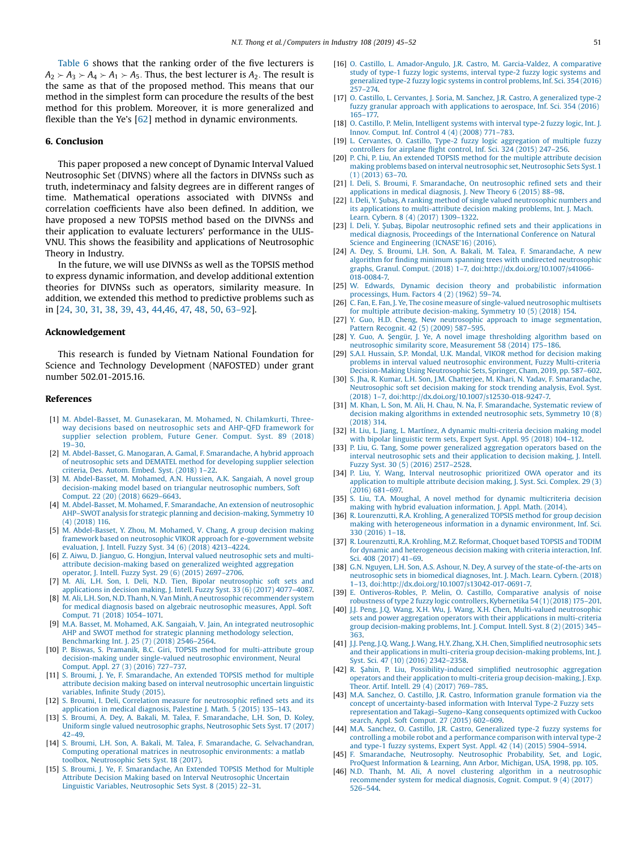<span id="page-6-0"></span>[Table](#page-5-0) 6 shows that the ranking order of the five lecturers is  $A_2 \rightarrow A_3 \rightarrow A_4 \rightarrow A_5$ . Thus, the best lecturer is  $A_2$ . The result is the same as that of the proposed method. This means that our method in the simplest form can procedure the results of the best method for this problem. Moreover, it is more generalized and flexible than the Ye's [\[62\]](#page-7-0) method in dynamic environments.

#### 6. Conclusion

This paper proposed a new concept of Dynamic Interval Valued Neutrosophic Set (DIVNS) where all the factors in DIVNSs such as truth, indeterminacy and falsity degrees are in different ranges of time. Mathematical operations associated with DIVNSs and correlation coefficients have also been defined. In addition, we have proposed a new TOPSIS method based on the DIVNSs and their application to evaluate lecturers' performance in the ULIS-VNU. This shows the feasibility and applications of Neutrosophic Theory in Industry.

In the future, we will use DIVNSs as well as the TOPSIS method to express dynamic information, and develop additional extention theories for DIVNSs such as operators, similarity measure. In addition, we extended this method to predictive problems such as in [24, 30, 31, 38, 39, 43, 44,46, [47,](#page-7-0) [48](#page-7-0), [50](#page-7-0), [63](#page-7-0)–92].

#### Acknowledgement

This research is funded by Vietnam National Foundation for Science and Technology Development (NAFOSTED) under grant number 502.01-2015.16.

#### References

- [1] M. [Abdel-Basset,](http://refhub.elsevier.com/S0166-3615(18)30673-0/sbref0005) M. Gunasekaran, M. Mohamed, N. Chilamkurti, Threeway decisions based on [neutrosophic](http://refhub.elsevier.com/S0166-3615(18)30673-0/sbref0005) sets and AHP-QFD framework for supplier [selection](http://refhub.elsevier.com/S0166-3615(18)30673-0/sbref0005) problem, Future Gener. Comput. Syst. 89 (2018)  $19 - 30$  $19 - 30$
- [2] M. Abdel-Basset, G. Manogaran, A. Gamal, F. [Smarandache,](http://refhub.elsevier.com/S0166-3615(18)30673-0/sbref0010) A hybrid approach of [neutrosophic](http://refhub.elsevier.com/S0166-3615(18)30673-0/sbref0010) sets and DEMATEL method for developing supplier selection [criteria,](http://refhub.elsevier.com/S0166-3615(18)30673-0/sbref0010) Des. Autom. Embed. Syst. (2018) 1–22.
- [3] M. [Abdel-Basset,](http://refhub.elsevier.com/S0166-3615(18)30673-0/sbref0015) M. Mohamed, A.N. Hussien, A.K. Sangaiah, A novel group [decision-making](http://refhub.elsevier.com/S0166-3615(18)30673-0/sbref0015) model based on triangular neutrosophic numbers, Soft [Comput.](http://refhub.elsevier.com/S0166-3615(18)30673-0/sbref0015) 22 (20) (2018) 6629–6643.
- [4] M. Abdel-Basset, M. Mohamed, F. [Smarandache,](http://refhub.elsevier.com/S0166-3615(18)30673-0/sbref0020) An extension of neutrosophic AHP–SWOT analysis for strategic planning and [decision-making,](http://refhub.elsevier.com/S0166-3615(18)30673-0/sbref0020) Symmetry 10 (4) [\(2018\)](http://refhub.elsevier.com/S0166-3615(18)30673-0/sbref0020) 116.
- [5] M. [Abdel-Basset,](http://refhub.elsevier.com/S0166-3615(18)30673-0/sbref0025) Y. Zhou, M. Mohamed, V. Chang, A group decision making framework based on neutrosophic VIKOR approach for [e-government](http://refhub.elsevier.com/S0166-3615(18)30673-0/sbref0025) website [evaluation,](http://refhub.elsevier.com/S0166-3615(18)30673-0/sbref0025) J. Intell. Fuzzy Syst. 34 (6) (2018) 4213–4224.
- [6] Z. Aiwu, D. Jianguo, G. Hongjun, Interval valued [neutrosophic](http://refhub.elsevier.com/S0166-3615(18)30673-0/sbref0030) sets and multiattribute [decision-making](http://refhub.elsevier.com/S0166-3615(18)30673-0/sbref0030) based on generalized weighted aggregation
- [operator,](http://refhub.elsevier.com/S0166-3615(18)30673-0/sbref0030) J. Intell. Fuzzy Syst. 29 (6) (2015) 2697–2706. [7] M. Ali, L.H. Son, I. Deli, N.D. Tien, Bipolar [neutrosophic](http://refhub.elsevier.com/S0166-3615(18)30673-0/sbref0035) soft sets and [applications](http://refhub.elsevier.com/S0166-3615(18)30673-0/sbref0035) in decision making, J. Intell. Fuzzy Syst. 33 (6) (2017) 4077–4087.
- [8] M. Ali, L.H. Son, N.D. Thanh, N. Van Minh, A neutrosophic [recommender](http://refhub.elsevier.com/S0166-3615(18)30673-0/sbref0040) system for medical diagnosis based on algebraic [neutrosophic](http://refhub.elsevier.com/S0166-3615(18)30673-0/sbref0040) measures, Appl. Soft [Comput.](http://refhub.elsevier.com/S0166-3615(18)30673-0/sbref0040) 71 (2018) 1054–1071.
- [9] M.A. Basset, M. Mohamed, A.K. Sangaiah, V. Jain, An integrated [neutrosophic](http://refhub.elsevier.com/S0166-3615(18)30673-0/sbref0045) AHP and SWOT method for strategic planning [methodology](http://refhub.elsevier.com/S0166-3615(18)30673-0/sbref0045) selection, [Benchmarking](http://refhub.elsevier.com/S0166-3615(18)30673-0/sbref0045) Int. J. 25 (7) (2018) 2546–2564.
- [10] P. Biswas, S. Pramanik, B.C. Giri, TOPSIS method for [multi-attribute](http://refhub.elsevier.com/S0166-3615(18)30673-0/sbref0050) group [decision-making](http://refhub.elsevier.com/S0166-3615(18)30673-0/sbref0050) under single-valued neutrosophic environment, Neural [Comput.](http://refhub.elsevier.com/S0166-3615(18)30673-0/sbref0050) Appl. 27 (3) (2016) 727–737.
- [11] S. Broumi, J. Ye, F. [Smarandache,](http://refhub.elsevier.com/S0166-3615(18)30673-0/sbref0055) An extended TOPSIS method for multiple attribute decision making based on interval [neutrosophic](http://refhub.elsevier.com/S0166-3615(18)30673-0/sbref0055) uncertain linguistic [variables,](http://refhub.elsevier.com/S0166-3615(18)30673-0/sbref0055) Infinite Study (2015).
- [12] S. Broumi, I. Deli, Correlation measure for [neutrosophic](http://refhub.elsevier.com/S0166-3615(18)30673-0/sbref0060) refined sets and its [application](http://refhub.elsevier.com/S0166-3615(18)30673-0/sbref0060) in medical diagnosis, Palestine J. Math. 5 (2015) 135–143.
- [13] S. Broumi, A. Dey, A. Bakali, M. Talea, F. [Smarandache,](http://refhub.elsevier.com/S0166-3615(18)30673-0/sbref0065) L.H. Son, D. Koley, Uniform single valued neutrosophic graphs, [Neutrosophic](http://refhub.elsevier.com/S0166-3615(18)30673-0/sbref0065) Sets Syst. 17 (2017) 42–[49.](http://refhub.elsevier.com/S0166-3615(18)30673-0/sbref0065)
- [14] S. Broumi, L.H. Son, A. Bakali, M. Talea, F. Smarandache, G. [Selvachandran,](http://refhub.elsevier.com/S0166-3615(18)30673-0/sbref0070) Computing operational matrices in neutrosophic [environments:](http://refhub.elsevier.com/S0166-3615(18)30673-0/sbref0070) a matlab toolbox, [Neutrosophic](http://refhub.elsevier.com/S0166-3615(18)30673-0/sbref0070) Sets Syst. 18 (2017).
- [15] S. Broumi, J. Ye, F. [Smarandache,](http://refhub.elsevier.com/S0166-3615(18)30673-0/sbref0075) An Extended TOPSIS Method for Multiple Attribute Decision Making based on Interval [Neutrosophic](http://refhub.elsevier.com/S0166-3615(18)30673-0/sbref0075) Uncertain Linguistic Variables, [Neutrosophic](http://refhub.elsevier.com/S0166-3615(18)30673-0/sbref0075) Sets Syst. 8 (2015) 22–31.
- [16] O. Castillo, L. [Amador-Angulo,](http://refhub.elsevier.com/S0166-3615(18)30673-0/sbref0080) J.R. Castro, M. Garcia-Valdez, A comparative study of type-1 fuzzy logic [systems,](http://refhub.elsevier.com/S0166-3615(18)30673-0/sbref0080) interval type-2 fuzzy logic systems and [generalized](http://refhub.elsevier.com/S0166-3615(18)30673-0/sbref0080) type-2 fuzzy logic systems in control problems, Inf. Sci. 354 (2016) [257](http://refhub.elsevier.com/S0166-3615(18)30673-0/sbref0080)–274.
- [17] O. Castillo, L. Cervantes, J. Soria, M. Sanchez, J.R. Castro, A [generalized](http://refhub.elsevier.com/S0166-3615(18)30673-0/sbref0085) type-2 fuzzy granular approach with [applications](http://refhub.elsevier.com/S0166-3615(18)30673-0/sbref0085) to aerospace, Inf. Sci. 354 (2016) [165](http://refhub.elsevier.com/S0166-3615(18)30673-0/sbref0085)–177.
- [18] O. Castillo, P. Melin, [Intelligent](http://refhub.elsevier.com/S0166-3615(18)30673-0/sbref0090) systems with interval type-2 fuzzy logic, Int. J. Innov. [Comput.](http://refhub.elsevier.com/S0166-3615(18)30673-0/sbref0090) Inf. Control 4 (4) (2008) 771–783.
- [19] L. Cervantes, O. Castillo, Type-2 fuzzy logic [aggregation](http://refhub.elsevier.com/S0166-3615(18)30673-0/sbref0095) of multiple fuzzy [controllers](http://refhub.elsevier.com/S0166-3615(18)30673-0/sbref0095) for airplane flight control, Inf. Sci. 324 (2015) 247–256.
- [20] P. Chi, P. Liu, An [extended](http://refhub.elsevier.com/S0166-3615(18)30673-0/sbref0100) TOPSIS method for the multiple attribute decision making problems based on interval neutrosophic set, [Neutrosophic](http://refhub.elsevier.com/S0166-3615(18)30673-0/sbref0100) Sets Syst.1 (1) [\(2013\)](http://refhub.elsevier.com/S0166-3615(18)30673-0/sbref0100) 63–70.
- [21] I. Deli, S. Broumi, F. [Smarandache,](http://refhub.elsevier.com/S0166-3615(18)30673-0/sbref0105) On neutrosophic refined sets and their [applications](http://refhub.elsevier.com/S0166-3615(18)30673-0/sbref0105) in medical diagnosis, J. New Theory 6 (2015) 88–98.
- [22] I. Deli, Y. Şubaş, A ranking method of single valued [neutrosophic](http://refhub.elsevier.com/S0166-3615(18)30673-0/sbref0110) numbers and its applications to [multi-attribute](http://refhub.elsevier.com/S0166-3615(18)30673-0/sbref0110) decision making problems, Int. J. Mach. Learn. [Cybern.](http://refhub.elsevier.com/S0166-3615(18)30673-0/sbref0110) 8 (4) (2017) 1309–1322.
- [23] İ. Deli, Y. Şubaş, Bipolar [neutrosophic](http://refhub.elsevier.com/S0166-3615(18)30673-0/sbref0115) refined sets and their applications in medical diagnosis, Proceedings of the [International](http://refhub.elsevier.com/S0166-3615(18)30673-0/sbref0115) Conference on Natural Science and [Engineering](http://refhub.elsevier.com/S0166-3615(18)30673-0/sbref0115) (ICNASE'16) (2016).
- [24] A. Dey, S. Broumi, L.H. Son, A. Bakali, M. Talea, F. [Smarandache,](http://refhub.elsevier.com/S0166-3615(18)30673-0/sbref0120) A new algorithm for finding minimum spanning trees with undirected [neutrosophic](http://refhub.elsevier.com/S0166-3615(18)30673-0/sbref0120) graphs, Granul. Comput. (2018) 1–7, [doi:http://dx.doi.org/10.1007/s41066-](http://refhub.elsevier.com/S0166-3615(18)30673-0/sbref0120) [018-0084-7.](http://dx.doi.org/10.1007/s41066-018-0084-7)
- [25] W. Edwards, Dynamic decision theory and [probabilistic](http://refhub.elsevier.com/S0166-3615(18)30673-0/sbref0125) information [processings,](http://refhub.elsevier.com/S0166-3615(18)30673-0/sbref0125) Hum. Factors 4 (2) (1962) 59–74.
- [26] C. Fan, E. Fan, J. Ye, The cosine measure of [single-valued](http://refhub.elsevier.com/S0166-3615(18)30673-0/sbref0130) neutrosophic multisets for multiple attribute [decision-making,](http://refhub.elsevier.com/S0166-3615(18)30673-0/sbref0130) Symmetry 10 (5) (2018) 154.
- [27] Y. Guo, H.D. Cheng, New neutrosophic approach to image [segmentation,](http://refhub.elsevier.com/S0166-3615(18)30673-0/sbref0135) Pattern [Recognit.](http://refhub.elsevier.com/S0166-3615(18)30673-0/sbref0135) 42 (5) (2009) 587–595.
- [28] Y. Guo, A. Şengür, J. Ye, A novel image [thresholding](http://refhub.elsevier.com/S0166-3615(18)30673-0/sbref0140) algorithm based on neutrosophic similarity score, [Measurement](http://refhub.elsevier.com/S0166-3615(18)30673-0/sbref0140) 58 (2014) 175–186.
- [29] S.A.I. [Hussain,](http://refhub.elsevier.com/S0166-3615(18)30673-0/sbref0145) S.P. Mondal, U.K. Mandal, VIKOR method for decision making problems in interval valued neutrosophic [environment,](http://refhub.elsevier.com/S0166-3615(18)30673-0/sbref0145) Fuzzy Multi-criteria [Decision-Making](http://refhub.elsevier.com/S0166-3615(18)30673-0/sbref0145) Using Neutrosophic Sets, Springer, Cham, 2019, pp. 587–602.
- [30] S. Jha, R. Kumar, L.H. Son, J.M. Chatterjee, M. Khari, N. Yadav, F. [Smarandache,](http://refhub.elsevier.com/S0166-3615(18)30673-0/sbref0150) [Neutrosophic](http://refhub.elsevier.com/S0166-3615(18)30673-0/sbref0150) soft set decision making for stock trending analysis, Evol. Syst. (2018) 1–7, [doi:http://dx.doi.org/10.1007/s12530-018-9247-7.](http://refhub.elsevier.com/S0166-3615(18)30673-0/sbref0150)
- [31] M. Khan, L. Son, M. Ali, H. Chau, N. Na, F. [Smarandache,](http://refhub.elsevier.com/S0166-3615(18)30673-0/sbref0155) Systematic review of decision making algorithms in extended [neutrosophic](http://refhub.elsevier.com/S0166-3615(18)30673-0/sbref0155) sets, Symmetry 10 (8) [\(2018\)](http://refhub.elsevier.com/S0166-3615(18)30673-0/sbref0155) 314.
- [32] H. Liu, L. Jiang, L. Martínez, A dynamic [multi-criteria](http://refhub.elsevier.com/S0166-3615(18)30673-0/sbref0160) decision making model with bipolar [linguistic](http://refhub.elsevier.com/S0166-3615(18)30673-0/sbref0160) term sets, Expert Syst. Appl. 95 (2018) 104–112.
- [33] P. Liu, G. Tang, Some power generalized [aggregation](http://refhub.elsevier.com/S0166-3615(18)30673-0/sbref0165) operators based on the interval [neutrosophic](http://refhub.elsevier.com/S0166-3615(18)30673-0/sbref0165) sets and their application to decision making, J. Intell. Fuzzy Syst. 30 (5) [\(2016\)](http://refhub.elsevier.com/S0166-3615(18)30673-0/sbref0165) 2517–2528.
- [34] P. Liu, Y. Wang, Interval [neutrosophic](http://refhub.elsevier.com/S0166-3615(18)30673-0/sbref0170) prioritized OWA operator and its [application](http://refhub.elsevier.com/S0166-3615(18)30673-0/sbref0170) to multiple attribute decision making, J. Syst. Sci. Complex. 29 (3) [\(2016\)](http://refhub.elsevier.com/S0166-3615(18)30673-0/sbref0170) 681–697.
- [35] S. Liu, T.A. Moughal, A novel method for dynamic [multicriteria](http://refhub.elsevier.com/S0166-3615(18)30673-0/sbref0175) decision making with hybrid evaluation [information,](http://refhub.elsevier.com/S0166-3615(18)30673-0/sbref0175) J. Appl. Math. (2014).
- [36] R. [Lourenzutti,](http://refhub.elsevier.com/S0166-3615(18)30673-0/sbref0180) R.A. Krohling, A generalized TOPSIS method for group decision making with [heterogeneous](http://refhub.elsevier.com/S0166-3615(18)30673-0/sbref0180) information in a dynamic environment, Inf. Sci. 330 [\(2016\)](http://refhub.elsevier.com/S0166-3615(18)30673-0/sbref0180) 1–18.
- [37] R. [Lourenzutti,](http://refhub.elsevier.com/S0166-3615(18)30673-0/sbref0185) R.A. Krohling, M.Z. Reformat, Choquet based TOPSIS and TODIM for dynamic and [heterogeneous](http://refhub.elsevier.com/S0166-3615(18)30673-0/sbref0185) decision making with criteria interaction, Inf. Sci. 408 [\(2017\)](http://refhub.elsevier.com/S0166-3615(18)30673-0/sbref0185) 41–69.
- [38] G.N. Nguyen, L.H. Son, A.S. Ashour, N. Dey, A survey of the [state-of-the-arts](http://refhub.elsevier.com/S0166-3615(18)30673-0/sbref0190) on [neutrosophic](http://refhub.elsevier.com/S0166-3615(18)30673-0/sbref0190) sets in biomedical diagnoses, Int. J. Mach. Learn. Cybern. (2018) 1–13, [doi:http://dx.doi.org/10.1007/s13042-017-0691-7.](http://refhub.elsevier.com/S0166-3615(18)30673-0/sbref0190)
- [39] E. [Ontiveros-Robles,](http://refhub.elsevier.com/S0166-3615(18)30673-0/sbref0195) P. Melin, O. Castillo, Comparative analysis of noise robustness of type 2 fuzzy logic controllers, [Kybernetika](http://refhub.elsevier.com/S0166-3615(18)30673-0/sbref0195) 54 (1) (2018) 175–201.
- [40] J.J. Peng, J.Q. Wang, X.H. Wu, J. Wang, X.H. Chen, Multi-valued [neutrosophic](http://refhub.elsevier.com/S0166-3615(18)30673-0/sbref0200) sets and power aggregation operators with their applications in [multi-criteria](http://refhub.elsevier.com/S0166-3615(18)30673-0/sbref0200) group [decision-making](http://refhub.elsevier.com/S0166-3615(18)30673-0/sbref0200) problems, Int. J. Comput. Intell. Syst. 8 (2) (2015) 345– [363.](http://refhub.elsevier.com/S0166-3615(18)30673-0/sbref0200)
- [41] J.J. Peng, J.Q. Wang, J. Wang, H.Y. Zhang, X.H. Chen, Simplified [neutrosophic](http://refhub.elsevier.com/S0166-3615(18)30673-0/sbref0205) sets and their applications in multi-criteria group [decision-making](http://refhub.elsevier.com/S0166-3615(18)30673-0/sbref0205) problems, Int. J. Syst. Sci. 47 (10) [\(2016\)](http://refhub.elsevier.com/S0166-3615(18)30673-0/sbref0205) 2342–2358.
- [42] R. Şahin, P. Liu, [Possibility-induced](http://refhub.elsevier.com/S0166-3615(18)30673-0/sbref0210) simplified neutrosophic aggregation operators and their application to multi-criteria group [decision-making,](http://refhub.elsevier.com/S0166-3615(18)30673-0/sbref0210) J. Exp. Theor. Artif. Intell. 29 (4) [\(2017\)](http://refhub.elsevier.com/S0166-3615(18)30673-0/sbref0210) 769–785.
- [43] M.A. Sanchez, O. Castillo, J.R. Castro, [Information](http://refhub.elsevier.com/S0166-3615(18)30673-0/sbref0215) granule formation via the concept of [uncertainty-based](http://refhub.elsevier.com/S0166-3615(18)30673-0/sbref0215) information with Interval Type-2 Fuzzy sets [representation](http://refhub.elsevier.com/S0166-3615(18)30673-0/sbref0215) and Takagi–Sugeno–Kang consequents optimized with Cuckoo search, Appl. Soft [Comput.](http://refhub.elsevier.com/S0166-3615(18)30673-0/sbref0215) 27 (2015) 602–609.
- [44] M.A. Sanchez, O. Castillo, J.R. Castro, [Generalized](http://refhub.elsevier.com/S0166-3615(18)30673-0/sbref0220) type-2 fuzzy systems for controlling a mobile robot and a [performance](http://refhub.elsevier.com/S0166-3615(18)30673-0/sbref0220) comparison with interval type-2 and type-1 fuzzy [systems,](http://refhub.elsevier.com/S0166-3615(18)30673-0/sbref0220) Expert Syst. Appl. 42 (14) (2015) 5904–5914.
- [45] F. [Smarandache,](http://refhub.elsevier.com/S0166-3615(18)30673-0/sbref0225) Neutrosophy. Neutrosophic Probability, Set, and Logic, ProQuest [Information](http://refhub.elsevier.com/S0166-3615(18)30673-0/sbref0225) & Learning, Ann Arbor, Michigan, USA, 1998, pp. 105.
- [46] N.D. Thanh, M. Ali, A novel clustering algorithm in a [neutrosophic](http://refhub.elsevier.com/S0166-3615(18)30673-0/sbref0230) [recommender](http://refhub.elsevier.com/S0166-3615(18)30673-0/sbref0230) system for medical diagnosis, Cognit. Comput. 9 (4) (2017) [526](http://refhub.elsevier.com/S0166-3615(18)30673-0/sbref0230)–544.